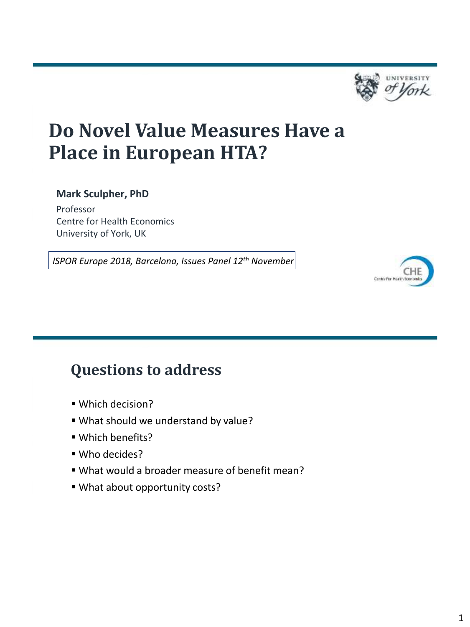

Contro For Health Board

## **Do Novel Value Measures Have a Place in European HTA?**

#### **Mark Sculpher, PhD**

Professor Centre for Health Economics University of York, UK

*ISPOR Europe 2018, Barcelona, Issues Panel 12th November*



- Which decision?
- What should we understand by value?
- Which benefits?
- Who decides?
- What would a broader measure of benefit mean?
- What about opportunity costs?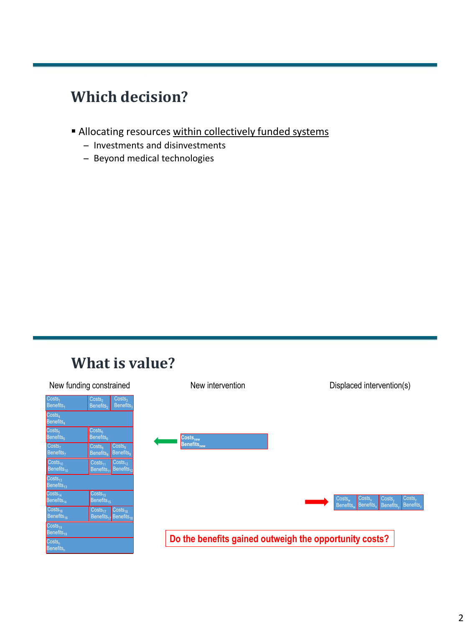### **Which decision?**

- Allocating resources within collectively funded systems
	- ̶ Investments and disinvestments
	- ̶ Beyond medical technologies

#### **What is value?**

| New funding constrained                                     |                                                                                                          | New intervention                                       | Displaced intervention(s)                                                            |
|-------------------------------------------------------------|----------------------------------------------------------------------------------------------------------|--------------------------------------------------------|--------------------------------------------------------------------------------------|
| $\overline{\text{Costs}_1}$<br><b>Benefits</b> <sub>1</sub> | Costs <sub>3</sub><br>Costs <sub>2</sub><br><b>Benefits</b><br>Benefits <sub>2</sub>                     |                                                        |                                                                                      |
| Costs <sub>4</sub><br>Benefits <sub>4</sub>                 |                                                                                                          |                                                        |                                                                                      |
| $\text{Costs}_5$<br><b>Benefits</b>                         | Costs <sub>6</sub><br>$\mathsf{B}$ enefits $_\mathsf{B}$                                                 | Costs <sub>new</sub>                                   |                                                                                      |
| $\overline{\text{Costs}}_7$<br>Benefits <sub>7</sub>        | Costs <sub>9</sub><br>Costs <sub>a</sub><br><b>Benefits</b> <sub>9</sub><br><b>Benefits</b> <sub>8</sub> | <b>Benefits</b> <sub>new</sub>                         |                                                                                      |
| $\text{Costs}_{10}$<br>Benefits <sub>10</sub>               | $Costs_{12}$<br>$Costs_{11}$<br>Benefits <sub>11</sub> Benefits <sub>12</sub>                            |                                                        |                                                                                      |
| Costs <sub>13</sub><br>Benefits $_{13}$                     |                                                                                                          |                                                        |                                                                                      |
| $\text{Costs}_{14}$<br>Benefits $_{14}$                     | $\overline{\text{Costs}_{15}}$<br>Benefits $_{15}$                                                       |                                                        | Costs.<br>Costs,<br>Costs <sub>w</sub><br>Costs.<br>Benefits.<br>Benefits, Benefits, |
| $\overline{\text{Costs}}_{16}$<br>Benefits <sub>16</sub>    | $Costs_{17}$<br>$CostS_{18}$<br>Benefits <sub>17</sub> Benefits <sub>18</sub>                            |                                                        | <b>Benefits</b> <sub>z</sub>                                                         |
| $\text{Costs}_{19}$<br>Benefits <sub>19</sub>               |                                                                                                          |                                                        |                                                                                      |
| Costs <sub>n</sub><br>Benefits <sub>n</sub>                 |                                                                                                          | Do the benefits gained outweigh the opportunity costs? |                                                                                      |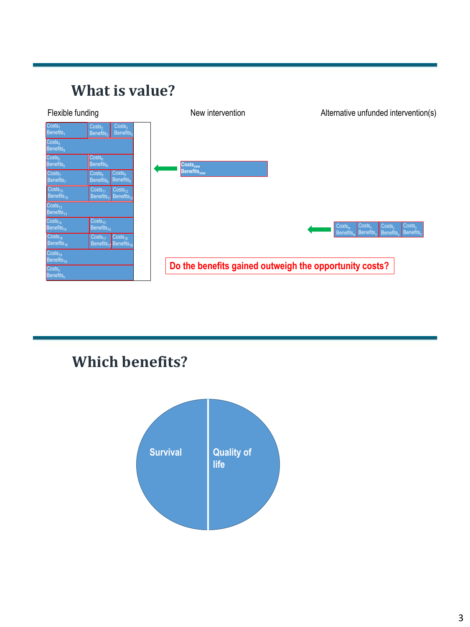### **What is value?**

| Flexible funding                                     |                                                                                                          | New intervention               | Alternative unfunded intervention(s)                                                                    |
|------------------------------------------------------|----------------------------------------------------------------------------------------------------------|--------------------------------|---------------------------------------------------------------------------------------------------------|
| Costs <sub>1</sub><br><b>Benefits</b> <sub>1</sub>   | Costs <sub>2</sub><br>Costs <sub>3</sub><br>Benefits <sub>3</sub><br>Benefits <sub>2</sub>               |                                |                                                                                                         |
| $\overline{\text{Costs}_4}$<br>Benefits <sub>4</sub> |                                                                                                          |                                |                                                                                                         |
| $\text{Costs}_5$<br>Benefits <sub>5</sub>            | Costs <sub>6</sub><br>Benefits <sub>6</sub>                                                              | Costs <sub>new</sub>           |                                                                                                         |
| Costs <sub>7</sub><br>Benefits <sub>7</sub>          | Costs <sub>8</sub><br>Costs <sub>q</sub><br><b>Benefits</b> <sub>9</sub><br><b>Benefits</b> <sub>8</sub> | <b>Benefits</b> <sub>new</sub> |                                                                                                         |
| Costs <sub>10</sub><br>Benefits $_{10}$              | $Costs_{12}$<br>Costs <sub>11</sub><br>$B$ enefits <sub>12</sub><br>Benefits <sub>1</sub>                |                                |                                                                                                         |
| Costs <sub>13</sub><br>Benefits $_{13}$              |                                                                                                          |                                |                                                                                                         |
| $\text{Costs}_{14}$<br>Benefits <sub>14</sub>        | $Costs_{15}$<br>Benefits <sub>15</sub>                                                                   |                                | Costs,<br>Costs,<br>Costs,<br>$Costs_w$<br>Benefits.<br>Benefits,<br>Benefits.<br>Benefits <sub>v</sub> |
| Costs <sub>16</sub><br>Benefits <sub>16</sub>        | $CostS_{17}$<br>Costs <sub>18</sub><br>Benefits <sub>17</sub> Benefits <sub>11</sub>                     |                                |                                                                                                         |
| $Costs_{19}$<br>Benefits <sub>19</sub>               |                                                                                                          |                                |                                                                                                         |
| Costs <sub>n</sub><br>Benefits <sub>n</sub>          |                                                                                                          |                                | Do the benefits gained outweigh the opportunity costs?                                                  |

### **Which benefits?**

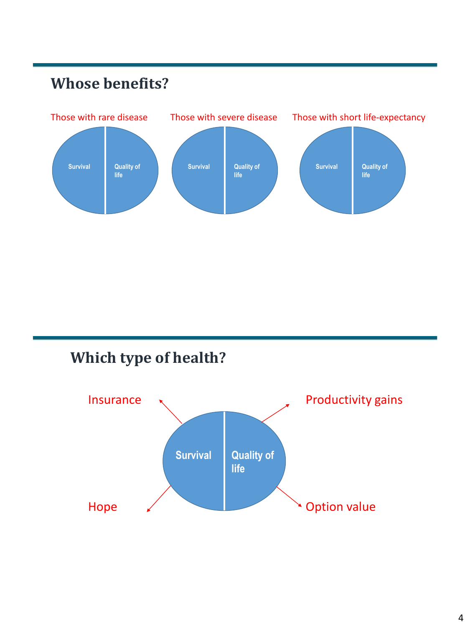### **Whose benefits?**



### **Which type of health?**

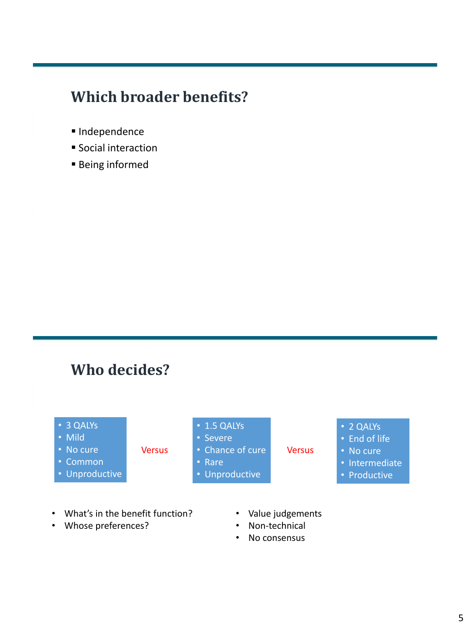### **Which broader benefits?**

- Independence
- **Social interaction**
- Being informed

#### **Who decides?**

- 3 QALYs
- Mild
- No cure
- Common
- Unproductive
- 1.5 QALYs
- Severe
- Versus Chance of cure **Versus** 
	- Rare
	- Unproductive
- 2 QALYs
- End of life
- No cure
- Intermediate
- Productive

- What's in the benefit function?
- Whose preferences?
- Value judgements
- Non-technical
- No consensus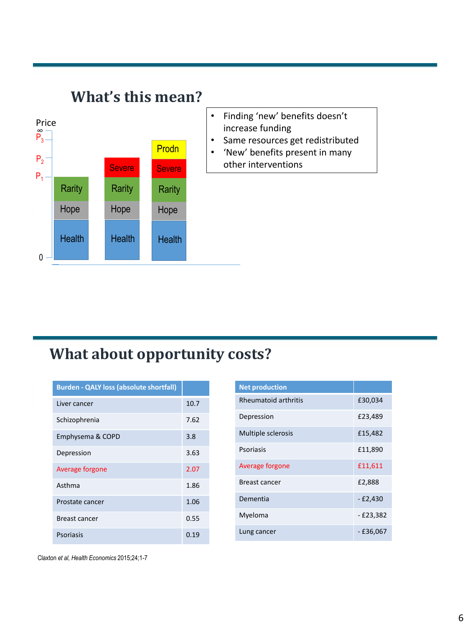

#### **What about opportunity costs?**

| <b>Burden - QALY loss (absolute shortfall)</b> |      |
|------------------------------------------------|------|
| Liver cancer                                   | 10.7 |
| Schizophrenia                                  | 7.62 |
| Emphysema & COPD                               | 3.8  |
| Depression                                     | 3.63 |
| Average forgone                                | 2.07 |
| Asthma                                         | 1.86 |
| Prostate cancer                                | 1.06 |
| Breast cancer                                  | 0.55 |
| <b>Psoriasis</b>                               | 0.19 |

| <b>Net production</b>       |            |
|-----------------------------|------------|
| <b>Rheumatoid arthritis</b> | £30,034    |
| Depression                  | £23,489    |
| Multiple sclerosis          | £15,482    |
| Psoriasis                   | £11,890    |
| Average forgone             | £11,611    |
| <b>Breast cancer</b>        | £2,888     |
| Dementia                    | $-E2,430$  |
| Myeloma                     | $-£23,382$ |
| Lung cancer                 | - £36,067  |

Claxton *et al, Health Economics* 2015;24;1-7